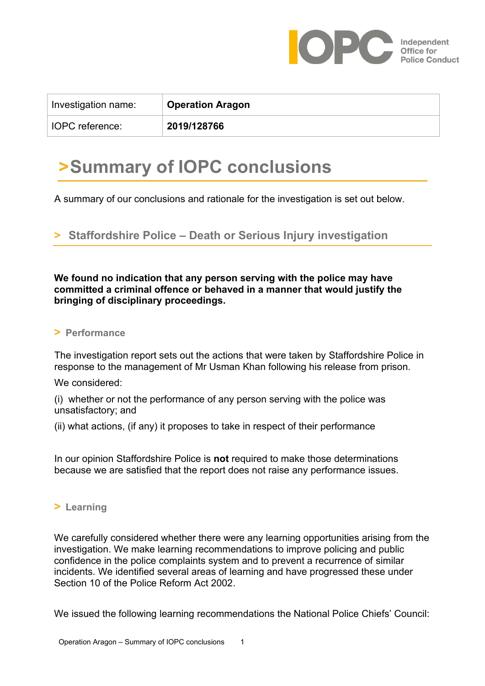

| Investigation name:    | <b>Operation Aragon</b> |
|------------------------|-------------------------|
| <b>IOPC</b> reference: | 2019/128766             |

## **>Summary of IOPC conclusions**

A summary of our conclusions and rationale for the investigation is set out below.

**> Staffordshire Police – Death or Serious Injury investigation**

**We found no indication that any person serving with the police may have committed a criminal offence or behaved in a manner that would justify the bringing of disciplinary proceedings.** 

## **> Performance**

The investigation report sets out the actions that were taken by Staffordshire Police in response to the management of Mr Usman Khan following his release from prison.

## We considered:

3. (i) whether or not the performance of any person serving with the police was unsatisfactory; and

(ii) what actions, (if any) it proposes to take in respect of their performance

In our opinion Staffordshire Police is **not** required to make those determinations because we are satisfied that the report does not raise any performance issues.

## **> Learning**

We carefully considered whether there were any learning opportunities arising from the investigation. We make learning recommendations to improve policing and public confidence in the police complaints system and to prevent a recurrence of similar incidents. We identified several areas of learning and have progressed these under Section 10 of the Police Reform Act 2002.

We issued the following learning recommendations the National Police Chiefs' Council: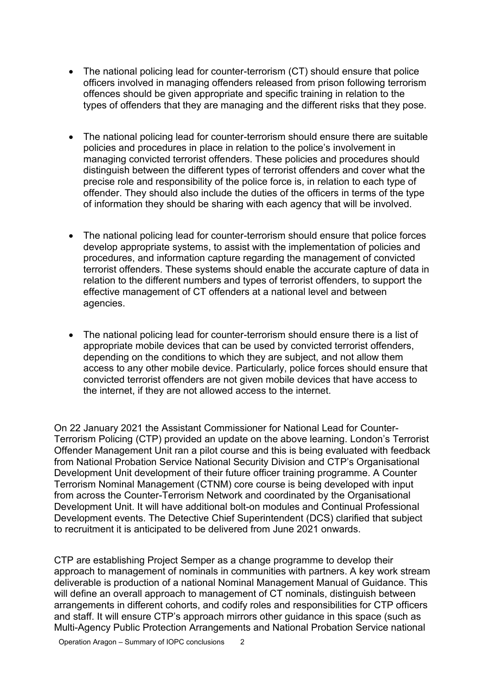- The national policing lead for counter-terrorism (CT) should ensure that police officers involved in managing offenders released from prison following terrorism offences should be given appropriate and specific training in relation to the types of offenders that they are managing and the different risks that they pose.
- The national policing lead for counter-terrorism should ensure there are suitable policies and procedures in place in relation to the police's involvement in managing convicted terrorist offenders. These policies and procedures should distinguish between the different types of terrorist offenders and cover what the precise role and responsibility of the police force is, in relation to each type of offender. They should also include the duties of the officers in terms of the type of information they should be sharing with each agency that will be involved.
- The national policing lead for counter-terrorism should ensure that police forces develop appropriate systems, to assist with the implementation of policies and procedures, and information capture regarding the management of convicted terrorist offenders. These systems should enable the accurate capture of data in relation to the different numbers and types of terrorist offenders, to support the effective management of CT offenders at a national level and between agencies.
- The national policing lead for counter-terrorism should ensure there is a list of appropriate mobile devices that can be used by convicted terrorist offenders, depending on the conditions to which they are subject, and not allow them access to any other mobile device. Particularly, police forces should ensure that convicted terrorist offenders are not given mobile devices that have access to the internet, if they are not allowed access to the internet.

On 22 January 2021 the Assistant Commissioner for National Lead for Counter-Terrorism Policing (CTP) provided an update on the above learning. London's Terrorist Offender Management Unit ran a pilot course and this is being evaluated with feedback from National Probation Service National Security Division and CTP's Organisational Development Unit development of their future officer training programme. A Counter Terrorism Nominal Management (CTNM) core course is being developed with input from across the Counter-Terrorism Network and coordinated by the Organisational Development Unit. It will have additional bolt-on modules and Continual Professional Development events. The Detective Chief Superintendent (DCS) clarified that subject to recruitment it is anticipated to be delivered from June 2021 onwards.

CTP are establishing Project Semper as a change programme to develop their approach to management of nominals in communities with partners. A key work stream deliverable is production of a national Nominal Management Manual of Guidance. This will define an overall approach to management of CT nominals, distinguish between arrangements in different cohorts, and codify roles and responsibilities for CTP officers and staff. It will ensure CTP's approach mirrors other guidance in this space (such as Multi-Agency Public Protection Arrangements and National Probation Service national